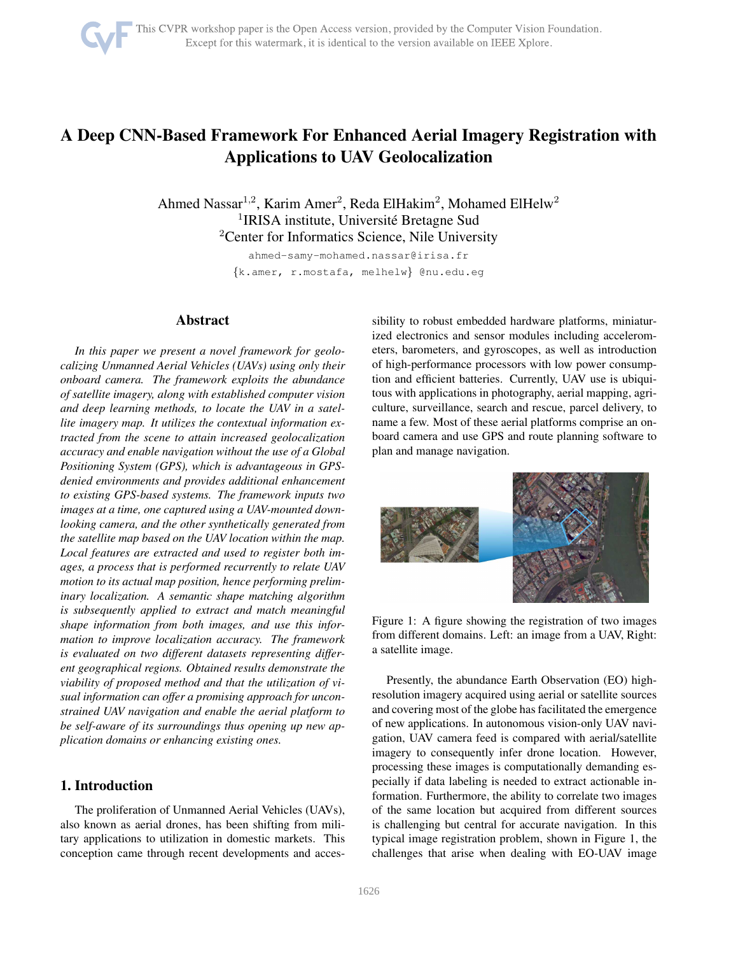# A Deep CNN-Based Framework For Enhanced Aerial Imagery Registration with Applications to UAV Geolocalization

Ahmed Nassar<sup>1,2</sup>, Karim Amer<sup>2</sup>, Reda ElHakim<sup>2</sup>, Mohamed ElHelw<sup>2</sup> <sup>1</sup>IRISA institute, Université Bretagne Sud <sup>2</sup>Center for Informatics Science, Nile University

> ahmed-samy-mohamed.nassar@irisa.fr {k.amer, r.mostafa, melhelw} @nu.edu.eg

## Abstract

*In this paper we present a novel framework for geolocalizing Unmanned Aerial Vehicles (UAVs) using only their onboard camera. The framework exploits the abundance of satellite imagery, along with established computer vision and deep learning methods, to locate the UAV in a satellite imagery map. It utilizes the contextual information extracted from the scene to attain increased geolocalization accuracy and enable navigation without the use of a Global Positioning System (GPS), which is advantageous in GPSdenied environments and provides additional enhancement to existing GPS-based systems. The framework inputs two images at a time, one captured using a UAV-mounted downlooking camera, and the other synthetically generated from the satellite map based on the UAV location within the map. Local features are extracted and used to register both images, a process that is performed recurrently to relate UAV motion to its actual map position, hence performing preliminary localization. A semantic shape matching algorithm is subsequently applied to extract and match meaningful shape information from both images, and use this information to improve localization accuracy. The framework is evaluated on two different datasets representing different geographical regions. Obtained results demonstrate the viability of proposed method and that the utilization of visual information can offer a promising approach for unconstrained UAV navigation and enable the aerial platform to be self-aware of its surroundings thus opening up new application domains or enhancing existing ones.*

## 1. Introduction

The proliferation of Unmanned Aerial Vehicles (UAVs), also known as aerial drones, has been shifting from military applications to utilization in domestic markets. This conception came through recent developments and accessibility to robust embedded hardware platforms, miniaturized electronics and sensor modules including accelerometers, barometers, and gyroscopes, as well as introduction of high-performance processors with low power consumption and efficient batteries. Currently, UAV use is ubiquitous with applications in photography, aerial mapping, agriculture, surveillance, search and rescue, parcel delivery, to name a few. Most of these aerial platforms comprise an onboard camera and use GPS and route planning software to plan and manage navigation.



Figure 1: A figure showing the registration of two images from different domains. Left: an image from a UAV, Right: a satellite image.

Presently, the abundance Earth Observation (EO) highresolution imagery acquired using aerial or satellite sources and covering most of the globe has facilitated the emergence of new applications. In autonomous vision-only UAV navigation, UAV camera feed is compared with aerial/satellite imagery to consequently infer drone location. However, processing these images is computationally demanding especially if data labeling is needed to extract actionable information. Furthermore, the ability to correlate two images of the same location but acquired from different sources is challenging but central for accurate navigation. In this typical image registration problem, shown in Figure 1, the challenges that arise when dealing with EO-UAV image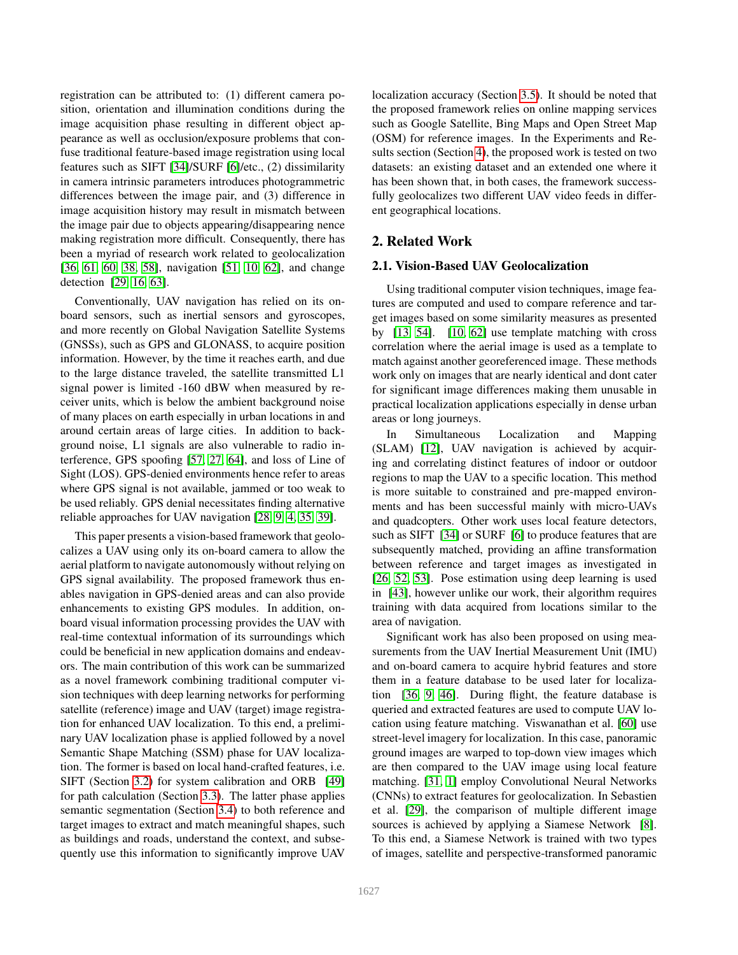registration can be attributed to: (1) different camera position, orientation and illumination conditions during the image acquisition phase resulting in different object appearance as well as occlusion/exposure problems that confuse traditional feature-based image registration using local features such as SIFT [\[34\]](#page-9-0)/SURF [\[6\]](#page-8-0)/etc., (2) dissimilarity in camera intrinsic parameters introduces photogrammetric differences between the image pair, and (3) difference in image acquisition history may result in mismatch between the image pair due to objects appearing/disappearing nence making registration more difficult. Consequently, there has been a myriad of research work related to geolocalization [\[36,](#page-9-1) [61,](#page-9-2) [60,](#page-9-3) [38,](#page-9-4) [58\]](#page-9-5), navigation [\[51,](#page-9-6) [10,](#page-8-1) [62\]](#page-10-0), and change detection [\[29,](#page-8-2) [16,](#page-8-3) [63\]](#page-10-1).

Conventionally, UAV navigation has relied on its onboard sensors, such as inertial sensors and gyroscopes, and more recently on Global Navigation Satellite Systems (GNSSs), such as GPS and GLONASS, to acquire position information. However, by the time it reaches earth, and due to the large distance traveled, the satellite transmitted L1 signal power is limited -160 dBW when measured by receiver units, which is below the ambient background noise of many places on earth especially in urban locations in and around certain areas of large cities. In addition to background noise, L1 signals are also vulnerable to radio interference, GPS spoofing [\[57,](#page-9-7) [27,](#page-8-4) [64\]](#page-10-2), and loss of Line of Sight (LOS). GPS-denied environments hence refer to areas where GPS signal is not available, jammed or too weak to be used reliably. GPS denial necessitates finding alternative reliable approaches for UAV navigation [\[28,](#page-8-5) [9,](#page-8-6) [4,](#page-8-7) [35,](#page-9-8) [39\]](#page-9-9).

This paper presents a vision-based framework that geolocalizes a UAV using only its on-board camera to allow the aerial platform to navigate autonomously without relying on GPS signal availability. The proposed framework thus enables navigation in GPS-denied areas and can also provide enhancements to existing GPS modules. In addition, onboard visual information processing provides the UAV with real-time contextual information of its surroundings which could be beneficial in new application domains and endeavors. The main contribution of this work can be summarized as a novel framework combining traditional computer vision techniques with deep learning networks for performing satellite (reference) image and UAV (target) image registration for enhanced UAV localization. To this end, a preliminary UAV localization phase is applied followed by a novel Semantic Shape Matching (SSM) phase for UAV localization. The former is based on local hand-crafted features, i.e. SIFT (Section [3.2\)](#page-3-0) for system calibration and ORB [\[49\]](#page-9-10) for path calculation (Section [3.3\)](#page-3-1). The latter phase applies semantic segmentation (Section [3.4\)](#page-4-0) to both reference and target images to extract and match meaningful shapes, such as buildings and roads, understand the context, and subsequently use this information to significantly improve UAV

localization accuracy (Section [3.5\)](#page-4-1). It should be noted that the proposed framework relies on online mapping services such as Google Satellite, Bing Maps and Open Street Map (OSM) for reference images. In the Experiments and Results section (Section [4\)](#page-5-0), the proposed work is tested on two datasets: an existing dataset and an extended one where it has been shown that, in both cases, the framework successfully geolocalizes two different UAV video feeds in different geographical locations.

## 2. Related Work

## 2.1. Vision-Based UAV Geolocalization

Using traditional computer vision techniques, image features are computed and used to compare reference and target images based on some similarity measures as presented by [\[13,](#page-8-8) [54\]](#page-9-11). [\[10,](#page-8-1) [62\]](#page-10-0) use template matching with cross correlation where the aerial image is used as a template to match against another georeferenced image. These methods work only on images that are nearly identical and dont cater for significant image differences making them unusable in practical localization applications especially in dense urban areas or long journeys.

In Simultaneous Localization and Mapping (SLAM) [\[12\]](#page-8-9), UAV navigation is achieved by acquiring and correlating distinct features of indoor or outdoor regions to map the UAV to a specific location. This method is more suitable to constrained and pre-mapped environments and has been successful mainly with micro-UAVs and quadcopters. Other work uses local feature detectors, such as SIFT [\[34\]](#page-9-0) or SURF [\[6\]](#page-8-0) to produce features that are subsequently matched, providing an affine transformation between reference and target images as investigated in [\[26,](#page-8-10) [52,](#page-9-12) [53\]](#page-9-13). Pose estimation using deep learning is used in [\[43\]](#page-9-14), however unlike our work, their algorithm requires training with data acquired from locations similar to the area of navigation.

Significant work has also been proposed on using measurements from the UAV Inertial Measurement Unit (IMU) and on-board camera to acquire hybrid features and store them in a feature database to be used later for localization [\[36,](#page-9-1) [9,](#page-8-6) [46\]](#page-9-15). During flight, the feature database is queried and extracted features are used to compute UAV location using feature matching. Viswanathan et al. [\[60\]](#page-9-3) use street-level imagery for localization. In this case, panoramic ground images are warped to top-down view images which are then compared to the UAV image using local feature matching. [\[31,](#page-8-11) [1\]](#page-8-12) employ Convolutional Neural Networks (CNNs) to extract features for geolocalization. In Sebastien et al. [\[29\]](#page-8-2), the comparison of multiple different image sources is achieved by applying a Siamese Network [\[8\]](#page-8-13). To this end, a Siamese Network is trained with two types of images, satellite and perspective-transformed panoramic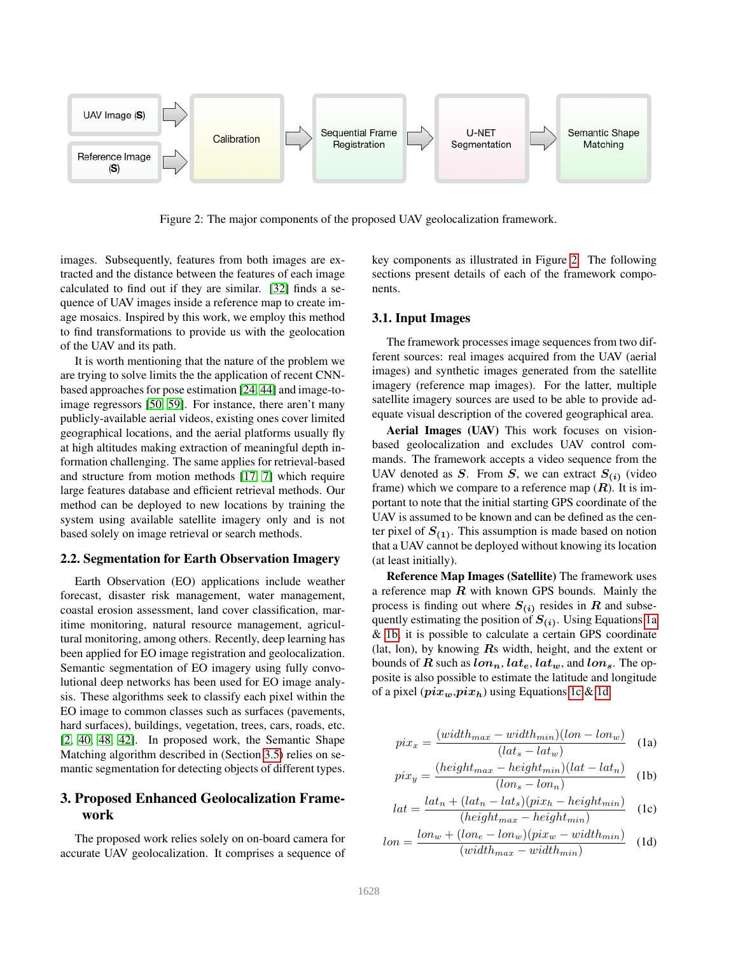<span id="page-2-0"></span>

Figure 2: The major components of the proposed UAV geolocalization framework.

images. Subsequently, features from both images are extracted and the distance between the features of each image calculated to find out if they are similar. [\[32\]](#page-9-16) finds a sequence of UAV images inside a reference map to create image mosaics. Inspired by this work, we employ this method to find transformations to provide us with the geolocation of the UAV and its path.

It is worth mentioning that the nature of the problem we are trying to solve limits the the application of recent CNNbased approaches for pose estimation [\[24,](#page-8-14) [44\]](#page-9-17) and image-toimage regressors [\[50,](#page-9-18) [59\]](#page-9-19). For instance, there aren't many publicly-available aerial videos, existing ones cover limited geographical locations, and the aerial platforms usually fly at high altitudes making extraction of meaningful depth information challenging. The same applies for retrieval-based and structure from motion methods [\[17,](#page-8-15) [7\]](#page-8-16) which require large features database and efficient retrieval methods. Our method can be deployed to new locations by training the system using available satellite imagery only and is not based solely on image retrieval or search methods.

#### 2.2. Segmentation for Earth Observation Imagery

Earth Observation (EO) applications include weather forecast, disaster risk management, water management, coastal erosion assessment, land cover classification, maritime monitoring, natural resource management, agricultural monitoring, among others. Recently, deep learning has been applied for EO image registration and geolocalization. Semantic segmentation of EO imagery using fully convolutional deep networks has been used for EO image analysis. These algorithms seek to classify each pixel within the EO image to common classes such as surfaces (pavements, hard surfaces), buildings, vegetation, trees, cars, roads, etc. [\[2,](#page-8-17) [40,](#page-9-20) [48,](#page-9-21) [42\]](#page-9-22). In proposed work, the Semantic Shape Matching algorithm described in (Section [3.5\)](#page-4-1) relies on semantic segmentation for detecting objects of different types.

## <span id="page-2-5"></span>3. Proposed Enhanced Geolocalization Framework

The proposed work relies solely on on-board camera for accurate UAV geolocalization. It comprises a sequence of key components as illustrated in Figure [2.](#page-2-0) The following sections present details of each of the framework components.

#### 3.1. Input Images

The framework processes image sequences from two different sources: real images acquired from the UAV (aerial images) and synthetic images generated from the satellite imagery (reference map images). For the latter, multiple satellite imagery sources are used to be able to provide adequate visual description of the covered geographical area.

Aerial Images (UAV) This work focuses on visionbased geolocalization and excludes UAV control commands. The framework accepts a video sequence from the UAV denoted as S. From S, we can extract  $S_{(i)}$  (video frame) which we compare to a reference map  $(R)$ . It is important to note that the initial starting GPS coordinate of the UAV is assumed to be known and can be defined as the center pixel of  $S_{(1)}$ . This assumption is made based on notion that a UAV cannot be deployed without knowing its location (at least initially).

Reference Map Images (Satellite) The framework uses a reference map  $R$  with known GPS bounds. Mainly the process is finding out where  $S(i)$  resides in  $R$  and subsequently estimating the position of  $S(i)$ . Using Equations [1a](#page-2-1) & [1b,](#page-2-2) it is possible to calculate a certain GPS coordinate (lat, lon), by knowing  $\boldsymbol{R}$ s width, height, and the extent or bounds of R such as  $lon_n, lat_e, lat_w,$  and  $lon_s$ . The opposite is also possible to estimate the latitude and longitude of a pixel  $(\vec{pix}_w, \vec{pix}_h)$  using Equations [1c](#page-2-3) & [1d.](#page-2-4)

<span id="page-2-1"></span>
$$
pix_x = \frac{(width_{max} - width_{min})(lon - lon_w)}{(lat_s - lat_w)} \quad (1a)
$$

<span id="page-2-3"></span><span id="page-2-2"></span>
$$
pix_y = \frac{(height_{max} - height_{min})(lat - lat_n)}{(lon_s - lon_n)} \quad (1b)
$$

<span id="page-2-4"></span>
$$
lat = \frac{lat_n + (lat_n - lat_s)(pix_h - height_{min})}{(height_{max} - height_{min})}
$$
 (1c)

$$
lon = \frac{lon_w + (lon_e - lon_w)(pix_w - width_{min})}{(width_{max} - width_{min})}
$$
 (1d)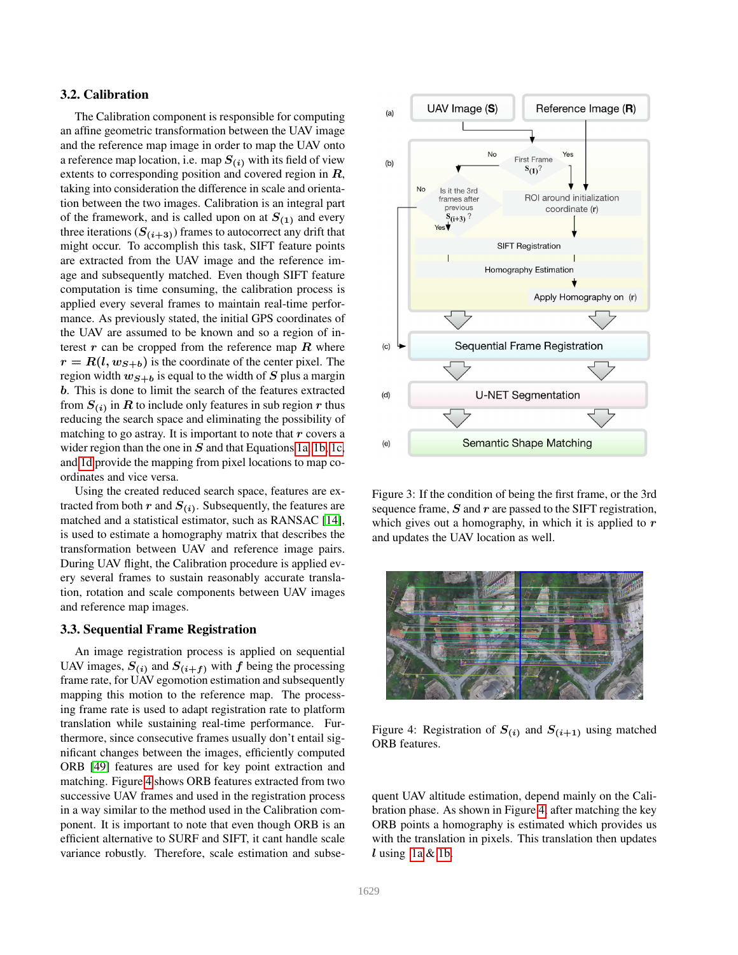## <span id="page-3-0"></span>3.2. Calibration

The Calibration component is responsible for computing an affine geometric transformation between the UAV image and the reference map image in order to map the UAV onto a reference map location, i.e. map  $S(i)$  with its field of view extents to corresponding position and covered region in  $\mathbb{R}$ , taking into consideration the difference in scale and orientation between the two images. Calibration is an integral part of the framework, and is called upon on at  $S_{(1)}$  and every three iterations  $(S_{(i+3)})$  frames to autocorrect any drift that might occur. To accomplish this task, SIFT feature points are extracted from the UAV image and the reference image and subsequently matched. Even though SIFT feature computation is time consuming, the calibration process is applied every several frames to maintain real-time performance. As previously stated, the initial GPS coordinates of the UAV are assumed to be known and so a region of interest r can be cropped from the reference map  $R$  where  $r = R(l, w_{S+b})$  is the coordinate of the center pixel. The region width  $w_{S+b}$  is equal to the width of S plus a margin b. This is done to limit the search of the features extracted from  $S(i)$  in  $R$  to include only features in sub region  $r$  thus reducing the search space and eliminating the possibility of matching to go astray. It is important to note that  $r$  covers a wider region than the one in  $S$  and that Equations [1a,](#page-2-1) [1b,](#page-2-2) [1c,](#page-2-3) and [1d](#page-2-4) provide the mapping from pixel locations to map coordinates and vice versa.

Using the created reduced search space, features are extracted from both r and  $S(i)$ . Subsequently, the features are matched and a statistical estimator, such as RANSAC [\[14\]](#page-8-18), is used to estimate a homography matrix that describes the transformation between UAV and reference image pairs. During UAV flight, the Calibration procedure is applied every several frames to sustain reasonably accurate translation, rotation and scale components between UAV images and reference map images.

#### <span id="page-3-1"></span>3.3. Sequential Frame Registration

An image registration process is applied on sequential UAV images,  $S(i)$  and  $S(i+f)$  with f being the processing frame rate, for UAV egomotion estimation and subsequently mapping this motion to the reference map. The processing frame rate is used to adapt registration rate to platform translation while sustaining real-time performance. Furthermore, since consecutive frames usually don't entail significant changes between the images, efficiently computed ORB [\[49\]](#page-9-10) features are used for key point extraction and matching. Figure [4](#page-3-2) shows ORB features extracted from two successive UAV frames and used in the registration process in a way similar to the method used in the Calibration component. It is important to note that even though ORB is an efficient alternative to SURF and SIFT, it cant handle scale variance robustly. Therefore, scale estimation and subse-



Figure 3: If the condition of being the first frame, or the 3rd sequence frame,  $S$  and  $r$  are passed to the SIFT registration, which gives out a homography, in which it is applied to  $r$ and updates the UAV location as well.

<span id="page-3-2"></span>

Figure 4: Registration of  $S(i)$  and  $S(i+1)$  using matched ORB features.

quent UAV altitude estimation, depend mainly on the Calibration phase. As shown in Figure [4,](#page-3-2) after matching the key ORB points a homography is estimated which provides us with the translation in pixels. This translation then updates  $l$  using [1a](#page-2-1) & [1b.](#page-2-2)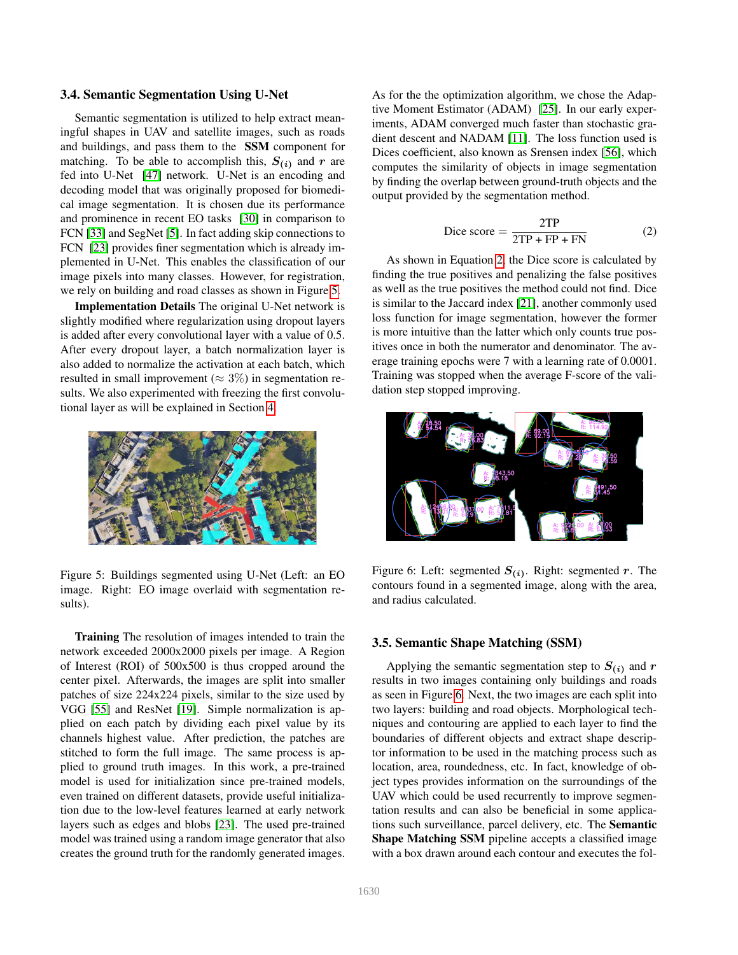#### <span id="page-4-0"></span>3.4. Semantic Segmentation Using U-Net

Semantic segmentation is utilized to help extract meaningful shapes in UAV and satellite images, such as roads and buildings, and pass them to the SSM component for matching. To be able to accomplish this,  $S(i)$  and r are fed into U-Net [\[47\]](#page-9-23) network. U-Net is an encoding and decoding model that was originally proposed for biomedical image segmentation. It is chosen due its performance and prominence in recent EO tasks [\[30\]](#page-8-19) in comparison to FCN [\[33\]](#page-9-24) and SegNet [\[5\]](#page-8-20). In fact adding skip connections to FCN [\[23\]](#page-8-21) provides finer segmentation which is already implemented in U-Net. This enables the classification of our image pixels into many classes. However, for registration, we rely on building and road classes as shown in Figure [5.](#page-4-2)

Implementation Details The original U-Net network is slightly modified where regularization using dropout layers is added after every convolutional layer with a value of 0.5. After every dropout layer, a batch normalization layer is also added to normalize the activation at each batch, which resulted in small improvement ( $\approx 3\%$ ) in segmentation results. We also experimented with freezing the first convolutional layer as will be explained in Section [4.](#page-5-0)

<span id="page-4-2"></span>

Figure 5: Buildings segmented using U-Net (Left: an EO image. Right: EO image overlaid with segmentation results).

Training The resolution of images intended to train the network exceeded 2000x2000 pixels per image. A Region of Interest (ROI) of 500x500 is thus cropped around the center pixel. Afterwards, the images are split into smaller patches of size 224x224 pixels, similar to the size used by VGG [\[55\]](#page-9-25) and ResNet [\[19\]](#page-8-22). Simple normalization is applied on each patch by dividing each pixel value by its channels highest value. After prediction, the patches are stitched to form the full image. The same process is applied to ground truth images. In this work, a pre-trained model is used for initialization since pre-trained models, even trained on different datasets, provide useful initialization due to the low-level features learned at early network layers such as edges and blobs [\[23\]](#page-8-21). The used pre-trained model was trained using a random image generator that also creates the ground truth for the randomly generated images.

As for the the optimization algorithm, we chose the Adaptive Moment Estimator (ADAM) [\[25\]](#page-8-23). In our early experiments, ADAM converged much faster than stochastic gradient descent and NADAM [\[11\]](#page-8-24). The loss function used is Dices coefficient, also known as Srensen index [\[56\]](#page-9-26), which computes the similarity of objects in image segmentation by finding the overlap between ground-truth objects and the output provided by the segmentation method.

<span id="page-4-3"></span>
$$
\text{Dice score} = \frac{2TP}{2TP + FP + FN} \tag{2}
$$

As shown in Equation [2,](#page-4-3) the Dice score is calculated by finding the true positives and penalizing the false positives as well as the true positives the method could not find. Dice is similar to the Jaccard index [\[21\]](#page-8-25), another commonly used loss function for image segmentation, however the former is more intuitive than the latter which only counts true positives once in both the numerator and denominator. The average training epochs were 7 with a learning rate of 0.0001. Training was stopped when the average F-score of the validation step stopped improving.

<span id="page-4-4"></span>

Figure 6: Left: segmented  $S(i)$ . Right: segmented r. The contours found in a segmented image, along with the area, and radius calculated.

#### <span id="page-4-1"></span>3.5. Semantic Shape Matching (SSM)

Applying the semantic segmentation step to  $S_{(i)}$  and r results in two images containing only buildings and roads as seen in Figure [6.](#page-4-4) Next, the two images are each split into two layers: building and road objects. Morphological techniques and contouring are applied to each layer to find the boundaries of different objects and extract shape descriptor information to be used in the matching process such as location, area, roundedness, etc. In fact, knowledge of object types provides information on the surroundings of the UAV which could be used recurrently to improve segmentation results and can also be beneficial in some applications such surveillance, parcel delivery, etc. The Semantic Shape Matching SSM pipeline accepts a classified image with a box drawn around each contour and executes the fol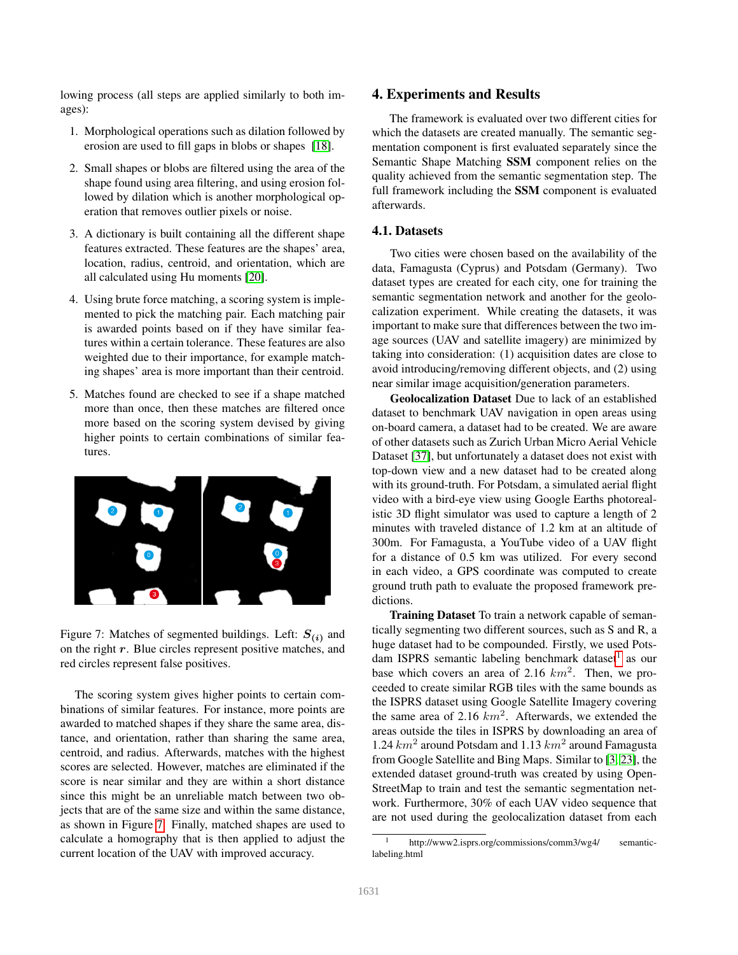lowing process (all steps are applied similarly to both images):

- 1. Morphological operations such as dilation followed by erosion are used to fill gaps in blobs or shapes [\[18\]](#page-8-26).
- 2. Small shapes or blobs are filtered using the area of the shape found using area filtering, and using erosion followed by dilation which is another morphological operation that removes outlier pixels or noise.
- 3. A dictionary is built containing all the different shape features extracted. These features are the shapes' area, location, radius, centroid, and orientation, which are all calculated using Hu moments [\[20\]](#page-8-27).
- 4. Using brute force matching, a scoring system is implemented to pick the matching pair. Each matching pair is awarded points based on if they have similar features within a certain tolerance. These features are also weighted due to their importance, for example matching shapes' area is more important than their centroid.
- 5. Matches found are checked to see if a shape matched more than once, then these matches are filtered once more based on the scoring system devised by giving higher points to certain combinations of similar features.

<span id="page-5-1"></span>

Figure 7: Matches of segmented buildings. Left:  $S_{(i)}$  and on the right  $r$ . Blue circles represent positive matches, and red circles represent false positives.

The scoring system gives higher points to certain combinations of similar features. For instance, more points are awarded to matched shapes if they share the same area, distance, and orientation, rather than sharing the same area, centroid, and radius. Afterwards, matches with the highest scores are selected. However, matches are eliminated if the score is near similar and they are within a short distance since this might be an unreliable match between two objects that are of the same size and within the same distance, as shown in Figure [7.](#page-5-1) Finally, matched shapes are used to calculate a homography that is then applied to adjust the current location of the UAV with improved accuracy.

## <span id="page-5-0"></span>4. Experiments and Results

The framework is evaluated over two different cities for which the datasets are created manually. The semantic segmentation component is first evaluated separately since the Semantic Shape Matching SSM component relies on the quality achieved from the semantic segmentation step. The full framework including the SSM component is evaluated afterwards.

## <span id="page-5-3"></span>4.1. Datasets

Two cities were chosen based on the availability of the data, Famagusta (Cyprus) and Potsdam (Germany). Two dataset types are created for each city, one for training the semantic segmentation network and another for the geolocalization experiment. While creating the datasets, it was important to make sure that differences between the two image sources (UAV and satellite imagery) are minimized by taking into consideration: (1) acquisition dates are close to avoid introducing/removing different objects, and (2) using near similar image acquisition/generation parameters.

Geolocalization Dataset Due to lack of an established dataset to benchmark UAV navigation in open areas using on-board camera, a dataset had to be created. We are aware of other datasets such as Zurich Urban Micro Aerial Vehicle Dataset [\[37\]](#page-9-27), but unfortunately a dataset does not exist with top-down view and a new dataset had to be created along with its ground-truth. For Potsdam, a simulated aerial flight video with a bird-eye view using Google Earths photorealistic 3D flight simulator was used to capture a length of 2 minutes with traveled distance of 1.2 km at an altitude of 300m. For Famagusta, a YouTube video of a UAV flight for a distance of 0.5 km was utilized. For every second in each video, a GPS coordinate was computed to create ground truth path to evaluate the proposed framework predictions.

Training Dataset To train a network capable of semantically segmenting two different sources, such as S and R, a huge dataset had to be compounded. Firstly, we used Pots-dam ISPRS semantic labeling benchmark dataset<sup>[1](#page-5-2)</sup> as our base which covers an area of 2.16  $km^2$ . Then, we proceeded to create similar RGB tiles with the same bounds as the ISPRS dataset using Google Satellite Imagery covering the same area of 2.16  $km^2$ . Afterwards, we extended the areas outside the tiles in ISPRS by downloading an area of 1.24  $km^2$  around Potsdam and 1.13  $km^2$  around Famagusta from Google Satellite and Bing Maps. Similar to [\[3,](#page-8-28) [23\]](#page-8-21), the extended dataset ground-truth was created by using Open-StreetMap to train and test the semantic segmentation network. Furthermore, 30% of each UAV video sequence that are not used during the geolocalization dataset from each

<span id="page-5-2"></span><sup>1</sup> http://www2.isprs.org/commissions/comm3/wg4/ semanticlabeling.html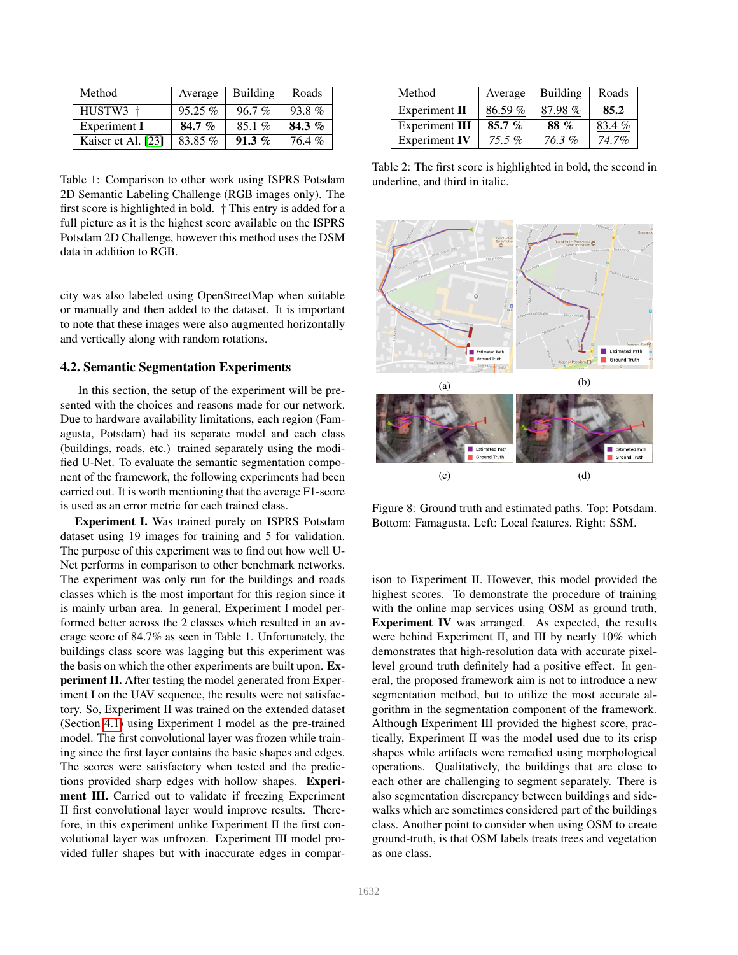| Method              | Average   | Building | Roads    |
|---------------------|-----------|----------|----------|
| HUSTW3 <sup>+</sup> | $95.25\%$ | $96.7\%$ | $93.8\%$ |
| Experiment I        | 84.7 $%$  | 85.1%    | 84.3 $%$ |
| Kaiser et Al. [23]  | 83.85%    | $91.3\%$ | $76.4\%$ |

Table 1: Comparison to other work using ISPRS Potsdam 2D Semantic Labeling Challenge (RGB images only). The first score is highlighted in bold. † This entry is added for a full picture as it is the highest score available on the ISPRS Potsdam 2D Challenge, however this method uses the DSM data in addition to RGB.

city was also labeled using OpenStreetMap when suitable or manually and then added to the dataset. It is important to note that these images were also augmented horizontally and vertically along with random rotations.

## 4.2. Semantic Segmentation Experiments

In this section, the setup of the experiment will be presented with the choices and reasons made for our network. Due to hardware availability limitations, each region (Famagusta, Potsdam) had its separate model and each class (buildings, roads, etc.) trained separately using the modified U-Net. To evaluate the semantic segmentation component of the framework, the following experiments had been carried out. It is worth mentioning that the average F1-score is used as an error metric for each trained class.

Experiment I. Was trained purely on ISPRS Potsdam dataset using 19 images for training and 5 for validation. The purpose of this experiment was to find out how well U-Net performs in comparison to other benchmark networks. The experiment was only run for the buildings and roads classes which is the most important for this region since it is mainly urban area. In general, Experiment I model performed better across the 2 classes which resulted in an average score of 84.7% as seen in Table 1. Unfortunately, the buildings class score was lagging but this experiment was the basis on which the other experiments are built upon. Experiment II. After testing the model generated from Experiment I on the UAV sequence, the results were not satisfactory. So, Experiment II was trained on the extended dataset (Section [4.1\)](#page-5-3) using Experiment I model as the pre-trained model. The first convolutional layer was frozen while training since the first layer contains the basic shapes and edges. The scores were satisfactory when tested and the predictions provided sharp edges with hollow shapes. Experiment III. Carried out to validate if freezing Experiment II first convolutional layer would improve results. Therefore, in this experiment unlike Experiment II the first convolutional layer was unfrozen. Experiment III model provided fuller shapes but with inaccurate edges in compar-

| Method                | Average  | Building | Roads |
|-----------------------|----------|----------|-------|
| Experiment II         | 86.59%   | 87.98%   | 85.2  |
| <b>Experiment III</b> | 85.7 $%$ | 88 %     | 83.4% |
| <b>Experiment IV</b>  | $75.5\%$ | 76.3 %   | 74.7% |

Table 2: The first score is highlighted in bold, the second in underline, and third in italic.

<span id="page-6-0"></span>

Figure 8: Ground truth and estimated paths. Top: Potsdam. Bottom: Famagusta. Left: Local features. Right: SSM.

ison to Experiment II. However, this model provided the highest scores. To demonstrate the procedure of training with the online map services using OSM as ground truth, Experiment IV was arranged. As expected, the results were behind Experiment II, and III by nearly 10% which demonstrates that high-resolution data with accurate pixellevel ground truth definitely had a positive effect. In general, the proposed framework aim is not to introduce a new segmentation method, but to utilize the most accurate algorithm in the segmentation component of the framework. Although Experiment III provided the highest score, practically, Experiment II was the model used due to its crisp shapes while artifacts were remedied using morphological operations. Qualitatively, the buildings that are close to each other are challenging to segment separately. There is also segmentation discrepancy between buildings and sidewalks which are sometimes considered part of the buildings class. Another point to consider when using OSM to create ground-truth, is that OSM labels treats trees and vegetation as one class.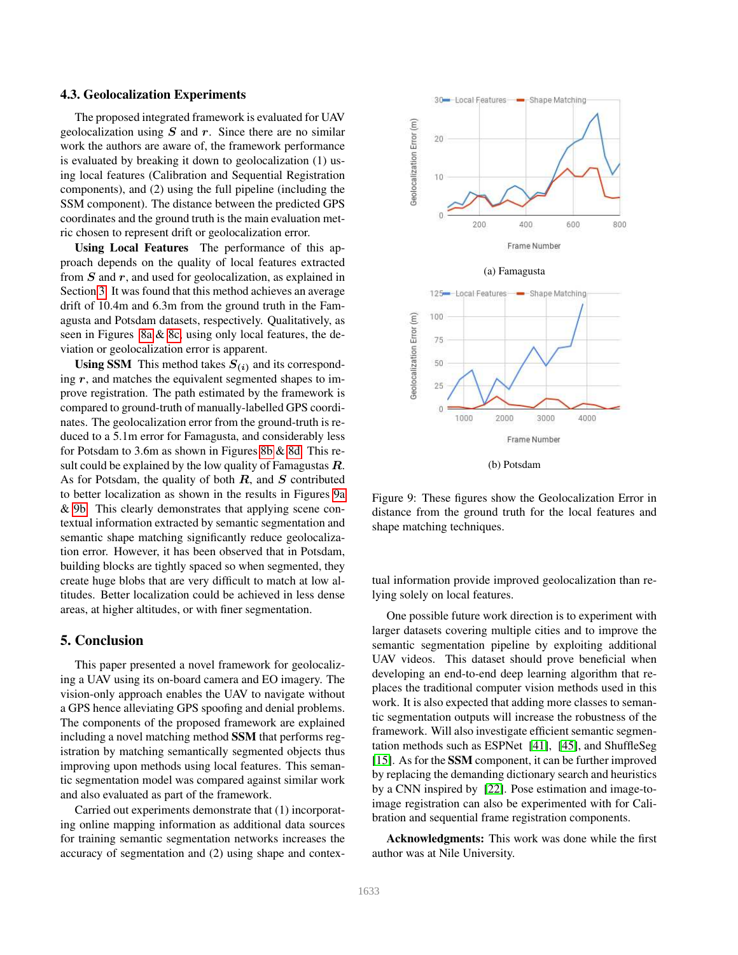#### 4.3. Geolocalization Experiments

The proposed integrated framework is evaluated for UAV geolocalization using  $S$  and  $r$ . Since there are no similar work the authors are aware of, the framework performance is evaluated by breaking it down to geolocalization (1) using local features (Calibration and Sequential Registration components), and (2) using the full pipeline (including the SSM component). The distance between the predicted GPS coordinates and the ground truth is the main evaluation metric chosen to represent drift or geolocalization error.

Using Local Features The performance of this approach depends on the quality of local features extracted from  $S$  and  $r$ , and used for geolocalization, as explained in Section [3.](#page-2-5) It was found that this method achieves an average drift of 10.4m and 6.3m from the ground truth in the Famagusta and Potsdam datasets, respectively. Qualitatively, as seen in Figures [8a](#page-6-0) & [8c,](#page-6-0) using only local features, the deviation or geolocalization error is apparent.

Using SSM This method takes  $S(i)$  and its corresponding  $r$ , and matches the equivalent segmented shapes to improve registration. The path estimated by the framework is compared to ground-truth of manually-labelled GPS coordinates. The geolocalization error from the ground-truth is reduced to a 5.1m error for Famagusta, and considerably less for Potsdam to 3.6m as shown in Figures [8b](#page-6-0) & [8d.](#page-6-0) This result could be explained by the low quality of Famagustas  $R$ . As for Potsdam, the quality of both  $R$ , and  $S$  contributed to better localization as shown in the results in Figures [9a](#page-7-0) & [9b.](#page-7-0) This clearly demonstrates that applying scene contextual information extracted by semantic segmentation and semantic shape matching significantly reduce geolocalization error. However, it has been observed that in Potsdam, building blocks are tightly spaced so when segmented, they create huge blobs that are very difficult to match at low altitudes. Better localization could be achieved in less dense areas, at higher altitudes, or with finer segmentation.

## 5. Conclusion

This paper presented a novel framework for geolocalizing a UAV using its on-board camera and EO imagery. The vision-only approach enables the UAV to navigate without a GPS hence alleviating GPS spoofing and denial problems. The components of the proposed framework are explained including a novel matching method SSM that performs registration by matching semantically segmented objects thus improving upon methods using local features. This semantic segmentation model was compared against similar work and also evaluated as part of the framework.

Carried out experiments demonstrate that (1) incorporating online mapping information as additional data sources for training semantic segmentation networks increases the accuracy of segmentation and (2) using shape and contex-

<span id="page-7-0"></span>

Figure 9: These figures show the Geolocalization Error in distance from the ground truth for the local features and shape matching techniques.

tual information provide improved geolocalization than relying solely on local features.

One possible future work direction is to experiment with larger datasets covering multiple cities and to improve the semantic segmentation pipeline by exploiting additional UAV videos. This dataset should prove beneficial when developing an end-to-end deep learning algorithm that replaces the traditional computer vision methods used in this work. It is also expected that adding more classes to semantic segmentation outputs will increase the robustness of the framework. Will also investigate efficient semantic segmentation methods such as ESPNet [\[41\]](#page-9-28), [\[45\]](#page-9-29), and ShuffleSeg [\[15\]](#page-8-29). As for the SSM component, it can be further improved by replacing the demanding dictionary search and heuristics by a CNN inspired by [\[22\]](#page-8-30). Pose estimation and image-toimage registration can also be experimented with for Calibration and sequential frame registration components.

Acknowledgments: This work was done while the first author was at Nile University.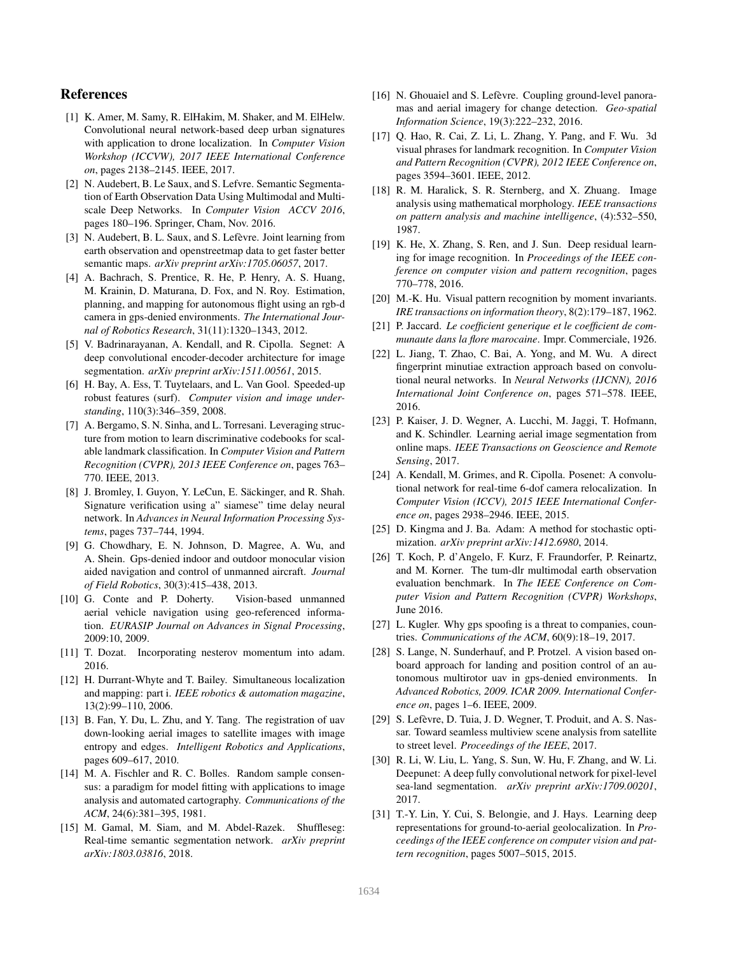## References

- <span id="page-8-12"></span>[1] K. Amer, M. Samy, R. ElHakim, M. Shaker, and M. ElHelw. Convolutional neural network-based deep urban signatures with application to drone localization. In *Computer Vision Workshop (ICCVW), 2017 IEEE International Conference on*, pages 2138–2145. IEEE, 2017.
- <span id="page-8-17"></span>[2] N. Audebert, B. Le Saux, and S. Lefvre. Semantic Segmentation of Earth Observation Data Using Multimodal and Multiscale Deep Networks. In *Computer Vision ACCV 2016*, pages 180–196. Springer, Cham, Nov. 2016.
- <span id="page-8-28"></span>[3] N. Audebert, B. L. Saux, and S. Lefèvre. Joint learning from earth observation and openstreetmap data to get faster better semantic maps. *arXiv preprint arXiv:1705.06057*, 2017.
- <span id="page-8-7"></span>[4] A. Bachrach, S. Prentice, R. He, P. Henry, A. S. Huang, M. Krainin, D. Maturana, D. Fox, and N. Roy. Estimation, planning, and mapping for autonomous flight using an rgb-d camera in gps-denied environments. *The International Journal of Robotics Research*, 31(11):1320–1343, 2012.
- <span id="page-8-20"></span>[5] V. Badrinarayanan, A. Kendall, and R. Cipolla. Segnet: A deep convolutional encoder-decoder architecture for image segmentation. *arXiv preprint arXiv:1511.00561*, 2015.
- <span id="page-8-0"></span>[6] H. Bay, A. Ess, T. Tuytelaars, and L. Van Gool. Speeded-up robust features (surf). *Computer vision and image understanding*, 110(3):346–359, 2008.
- <span id="page-8-16"></span>[7] A. Bergamo, S. N. Sinha, and L. Torresani. Leveraging structure from motion to learn discriminative codebooks for scalable landmark classification. In *Computer Vision and Pattern Recognition (CVPR), 2013 IEEE Conference on*, pages 763– 770. IEEE, 2013.
- <span id="page-8-13"></span>[8] J. Bromley, I. Guyon, Y. LeCun, E. Säckinger, and R. Shah. Signature verification using a" siamese" time delay neural network. In *Advances in Neural Information Processing Systems*, pages 737–744, 1994.
- <span id="page-8-6"></span>[9] G. Chowdhary, E. N. Johnson, D. Magree, A. Wu, and A. Shein. Gps-denied indoor and outdoor monocular vision aided navigation and control of unmanned aircraft. *Journal of Field Robotics*, 30(3):415–438, 2013.
- <span id="page-8-1"></span>[10] G. Conte and P. Doherty. Vision-based unmanned aerial vehicle navigation using geo-referenced information. *EURASIP Journal on Advances in Signal Processing*, 2009:10, 2009.
- <span id="page-8-24"></span>[11] T. Dozat. Incorporating nesterov momentum into adam. 2016.
- <span id="page-8-9"></span>[12] H. Durrant-Whyte and T. Bailey. Simultaneous localization and mapping: part i. *IEEE robotics & automation magazine*, 13(2):99–110, 2006.
- <span id="page-8-8"></span>[13] B. Fan, Y. Du, L. Zhu, and Y. Tang. The registration of uav down-looking aerial images to satellite images with image entropy and edges. *Intelligent Robotics and Applications*, pages 609–617, 2010.
- <span id="page-8-18"></span>[14] M. A. Fischler and R. C. Bolles. Random sample consensus: a paradigm for model fitting with applications to image analysis and automated cartography. *Communications of the ACM*, 24(6):381–395, 1981.
- <span id="page-8-29"></span>[15] M. Gamal, M. Siam, and M. Abdel-Razek. Shuffleseg: Real-time semantic segmentation network. *arXiv preprint arXiv:1803.03816*, 2018.
- <span id="page-8-3"></span>[16] N. Ghouaiel and S. Lefèvre. Coupling ground-level panoramas and aerial imagery for change detection. *Geo-spatial Information Science*, 19(3):222–232, 2016.
- <span id="page-8-15"></span>[17] Q. Hao, R. Cai, Z. Li, L. Zhang, Y. Pang, and F. Wu. 3d visual phrases for landmark recognition. In *Computer Vision and Pattern Recognition (CVPR), 2012 IEEE Conference on*, pages 3594–3601. IEEE, 2012.
- <span id="page-8-26"></span>[18] R. M. Haralick, S. R. Sternberg, and X. Zhuang. Image analysis using mathematical morphology. *IEEE transactions on pattern analysis and machine intelligence*, (4):532–550, 1987.
- <span id="page-8-22"></span>[19] K. He, X. Zhang, S. Ren, and J. Sun. Deep residual learning for image recognition. In *Proceedings of the IEEE conference on computer vision and pattern recognition*, pages 770–778, 2016.
- <span id="page-8-27"></span>[20] M.-K. Hu. Visual pattern recognition by moment invariants. *IRE transactions on information theory*, 8(2):179–187, 1962.
- <span id="page-8-25"></span>[21] P. Jaccard. *Le coefficient generique et le coefficient de communaute dans la flore marocaine*. Impr. Commerciale, 1926.
- <span id="page-8-30"></span>[22] L. Jiang, T. Zhao, C. Bai, A. Yong, and M. Wu. A direct fingerprint minutiae extraction approach based on convolutional neural networks. In *Neural Networks (IJCNN), 2016 International Joint Conference on*, pages 571–578. IEEE, 2016.
- <span id="page-8-21"></span>[23] P. Kaiser, J. D. Wegner, A. Lucchi, M. Jaggi, T. Hofmann, and K. Schindler. Learning aerial image segmentation from online maps. *IEEE Transactions on Geoscience and Remote Sensing*, 2017.
- <span id="page-8-14"></span>[24] A. Kendall, M. Grimes, and R. Cipolla. Posenet: A convolutional network for real-time 6-dof camera relocalization. In *Computer Vision (ICCV), 2015 IEEE International Conference on*, pages 2938–2946. IEEE, 2015.
- <span id="page-8-23"></span>[25] D. Kingma and J. Ba. Adam: A method for stochastic optimization. *arXiv preprint arXiv:1412.6980*, 2014.
- <span id="page-8-10"></span>[26] T. Koch, P. d'Angelo, F. Kurz, F. Fraundorfer, P. Reinartz, and M. Korner. The tum-dlr multimodal earth observation evaluation benchmark. In *The IEEE Conference on Computer Vision and Pattern Recognition (CVPR) Workshops*, June 2016.
- <span id="page-8-4"></span>[27] L. Kugler. Why gps spoofing is a threat to companies, countries. *Communications of the ACM*, 60(9):18–19, 2017.
- <span id="page-8-5"></span>[28] S. Lange, N. Sunderhauf, and P. Protzel. A vision based onboard approach for landing and position control of an autonomous multirotor uav in gps-denied environments. In *Advanced Robotics, 2009. ICAR 2009. International Conference on*, pages 1–6. IEEE, 2009.
- <span id="page-8-2"></span>[29] S. Lefèvre, D. Tuia, J. D. Wegner, T. Produit, and A. S. Nassar. Toward seamless multiview scene analysis from satellite to street level. *Proceedings of the IEEE*, 2017.
- <span id="page-8-19"></span>[30] R. Li, W. Liu, L. Yang, S. Sun, W. Hu, F. Zhang, and W. Li. Deepunet: A deep fully convolutional network for pixel-level sea-land segmentation. *arXiv preprint arXiv:1709.00201*, 2017.
- <span id="page-8-11"></span>[31] T.-Y. Lin, Y. Cui, S. Belongie, and J. Hays. Learning deep representations for ground-to-aerial geolocalization. In *Proceedings of the IEEE conference on computer vision and pattern recognition*, pages 5007–5015, 2015.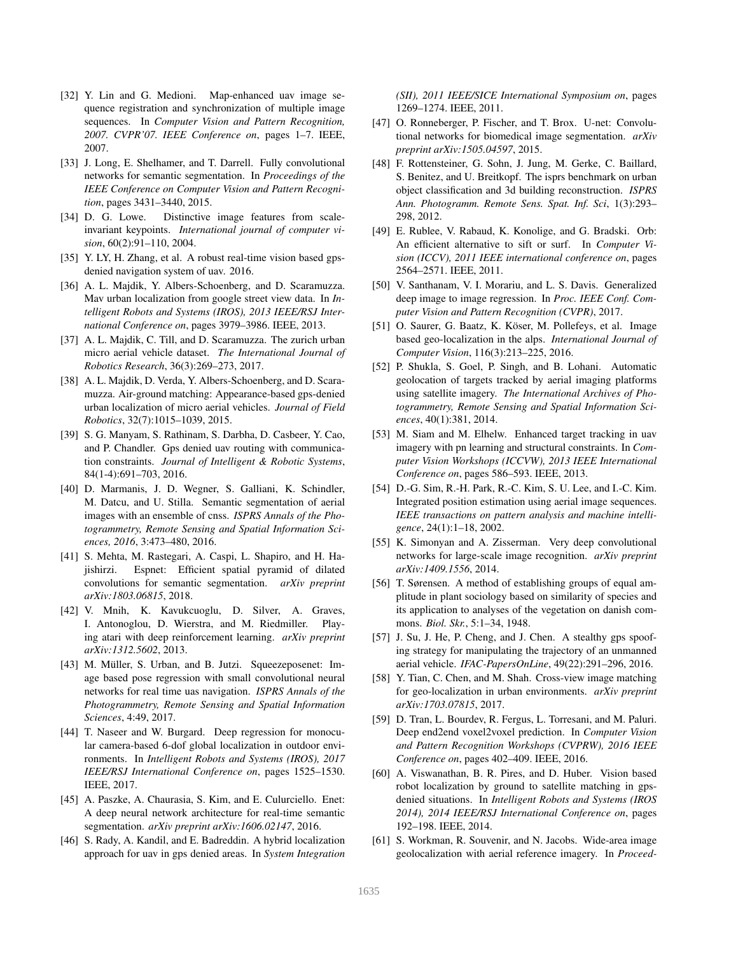- <span id="page-9-16"></span>[32] Y. Lin and G. Medioni. Map-enhanced uav image sequence registration and synchronization of multiple image sequences. In *Computer Vision and Pattern Recognition, 2007. CVPR'07. IEEE Conference on*, pages 1–7. IEEE, 2007.
- <span id="page-9-24"></span>[33] J. Long, E. Shelhamer, and T. Darrell. Fully convolutional networks for semantic segmentation. In *Proceedings of the IEEE Conference on Computer Vision and Pattern Recognition*, pages 3431–3440, 2015.
- <span id="page-9-0"></span>[34] D. G. Lowe. Distinctive image features from scaleinvariant keypoints. *International journal of computer vision*, 60(2):91–110, 2004.
- <span id="page-9-8"></span>[35] Y. LY, H. Zhang, et al. A robust real-time vision based gpsdenied navigation system of uav. 2016.
- <span id="page-9-1"></span>[36] A. L. Majdik, Y. Albers-Schoenberg, and D. Scaramuzza. Mav urban localization from google street view data. In *Intelligent Robots and Systems (IROS), 2013 IEEE/RSJ International Conference on*, pages 3979–3986. IEEE, 2013.
- <span id="page-9-27"></span>[37] A. L. Majdik, C. Till, and D. Scaramuzza. The zurich urban micro aerial vehicle dataset. *The International Journal of Robotics Research*, 36(3):269–273, 2017.
- <span id="page-9-4"></span>[38] A. L. Majdik, D. Verda, Y. Albers-Schoenberg, and D. Scaramuzza. Air-ground matching: Appearance-based gps-denied urban localization of micro aerial vehicles. *Journal of Field Robotics*, 32(7):1015–1039, 2015.
- <span id="page-9-9"></span>[39] S. G. Manyam, S. Rathinam, S. Darbha, D. Casbeer, Y. Cao, and P. Chandler. Gps denied uav routing with communication constraints. *Journal of Intelligent & Robotic Systems*, 84(1-4):691–703, 2016.
- <span id="page-9-20"></span>[40] D. Marmanis, J. D. Wegner, S. Galliani, K. Schindler, M. Datcu, and U. Stilla. Semantic segmentation of aerial images with an ensemble of cnss. *ISPRS Annals of the Photogrammetry, Remote Sensing and Spatial Information Sciences, 2016*, 3:473–480, 2016.
- <span id="page-9-28"></span>[41] S. Mehta, M. Rastegari, A. Caspi, L. Shapiro, and H. Hajishirzi. Espnet: Efficient spatial pyramid of dilated convolutions for semantic segmentation. *arXiv preprint arXiv:1803.06815*, 2018.
- <span id="page-9-22"></span>[42] V. Mnih, K. Kavukcuoglu, D. Silver, A. Graves, I. Antonoglou, D. Wierstra, and M. Riedmiller. Playing atari with deep reinforcement learning. *arXiv preprint arXiv:1312.5602*, 2013.
- <span id="page-9-14"></span>[43] M. Müller, S. Urban, and B. Jutzi. Squeezeposenet: Image based pose regression with small convolutional neural networks for real time uas navigation. *ISPRS Annals of the Photogrammetry, Remote Sensing and Spatial Information Sciences*, 4:49, 2017.
- <span id="page-9-17"></span>[44] T. Naseer and W. Burgard. Deep regression for monocular camera-based 6-dof global localization in outdoor environments. In *Intelligent Robots and Systems (IROS), 2017 IEEE/RSJ International Conference on*, pages 1525–1530. IEEE, 2017.
- <span id="page-9-29"></span>[45] A. Paszke, A. Chaurasia, S. Kim, and E. Culurciello. Enet: A deep neural network architecture for real-time semantic segmentation. *arXiv preprint arXiv:1606.02147*, 2016.
- <span id="page-9-15"></span>[46] S. Rady, A. Kandil, and E. Badreddin. A hybrid localization approach for uav in gps denied areas. In *System Integration*

*(SII), 2011 IEEE/SICE International Symposium on*, pages 1269–1274. IEEE, 2011.

- <span id="page-9-23"></span>[47] O. Ronneberger, P. Fischer, and T. Brox. U-net: Convolutional networks for biomedical image segmentation. *arXiv preprint arXiv:1505.04597*, 2015.
- <span id="page-9-21"></span>[48] F. Rottensteiner, G. Sohn, J. Jung, M. Gerke, C. Baillard, S. Benitez, and U. Breitkopf. The isprs benchmark on urban object classification and 3d building reconstruction. *ISPRS Ann. Photogramm. Remote Sens. Spat. Inf. Sci*, 1(3):293– 298, 2012.
- <span id="page-9-10"></span>[49] E. Rublee, V. Rabaud, K. Konolige, and G. Bradski. Orb: An efficient alternative to sift or surf. In *Computer Vision (ICCV), 2011 IEEE international conference on*, pages 2564–2571. IEEE, 2011.
- <span id="page-9-18"></span>[50] V. Santhanam, V. I. Morariu, and L. S. Davis. Generalized deep image to image regression. In *Proc. IEEE Conf. Computer Vision and Pattern Recognition (CVPR)*, 2017.
- <span id="page-9-6"></span>[51] O. Saurer, G. Baatz, K. Köser, M. Pollefeys, et al. Image based geo-localization in the alps. *International Journal of Computer Vision*, 116(3):213–225, 2016.
- <span id="page-9-12"></span>[52] P. Shukla, S. Goel, P. Singh, and B. Lohani. Automatic geolocation of targets tracked by aerial imaging platforms using satellite imagery. *The International Archives of Photogrammetry, Remote Sensing and Spatial Information Sciences*, 40(1):381, 2014.
- <span id="page-9-13"></span>[53] M. Siam and M. Elhelw. Enhanced target tracking in uav imagery with pn learning and structural constraints. In *Computer Vision Workshops (ICCVW), 2013 IEEE International Conference on*, pages 586–593. IEEE, 2013.
- <span id="page-9-11"></span>[54] D.-G. Sim, R.-H. Park, R.-C. Kim, S. U. Lee, and I.-C. Kim. Integrated position estimation using aerial image sequences. *IEEE transactions on pattern analysis and machine intelligence*, 24(1):1–18, 2002.
- <span id="page-9-25"></span>[55] K. Simonyan and A. Zisserman. Very deep convolutional networks for large-scale image recognition. *arXiv preprint arXiv:1409.1556*, 2014.
- <span id="page-9-26"></span>[56] T. Sørensen. A method of establishing groups of equal amplitude in plant sociology based on similarity of species and its application to analyses of the vegetation on danish commons. *Biol. Skr.*, 5:1–34, 1948.
- <span id="page-9-7"></span>[57] J. Su, J. He, P. Cheng, and J. Chen. A stealthy gps spoofing strategy for manipulating the trajectory of an unmanned aerial vehicle. *IFAC-PapersOnLine*, 49(22):291–296, 2016.
- <span id="page-9-5"></span>[58] Y. Tian, C. Chen, and M. Shah. Cross-view image matching for geo-localization in urban environments. *arXiv preprint arXiv:1703.07815*, 2017.
- <span id="page-9-19"></span>[59] D. Tran, L. Bourdev, R. Fergus, L. Torresani, and M. Paluri. Deep end2end voxel2voxel prediction. In *Computer Vision and Pattern Recognition Workshops (CVPRW), 2016 IEEE Conference on*, pages 402–409. IEEE, 2016.
- <span id="page-9-3"></span>[60] A. Viswanathan, B. R. Pires, and D. Huber. Vision based robot localization by ground to satellite matching in gpsdenied situations. In *Intelligent Robots and Systems (IROS 2014), 2014 IEEE/RSJ International Conference on*, pages 192–198. IEEE, 2014.
- <span id="page-9-2"></span>[61] S. Workman, R. Souvenir, and N. Jacobs. Wide-area image geolocalization with aerial reference imagery. In *Proceed-*